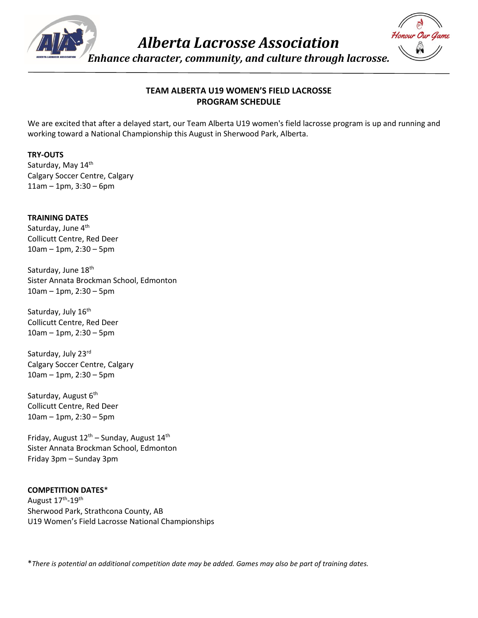

*Alberta Lacrosse Association*

*Enhance character, community, and culture through lacrosse.*

# **TEAM ALBERTA U19 WOMEN'S FIELD LACROSSE PROGRAM SCHEDULE**

We are excited that after a delayed start, our Team Alberta U19 women's field lacrosse program is up and running and working toward a National Championship this August in Sherwood Park, Alberta.

## **TRY-OUTS**

Saturday, May 14th Calgary Soccer Centre, Calgary 11am – 1pm, 3:30 – 6pm

**TRAINING DATES** Saturday, June 4<sup>th</sup> Collicutt Centre, Red Deer 10am – 1pm, 2:30 – 5pm

Saturday, June 18<sup>th</sup> Sister Annata Brockman School, Edmonton 10am – 1pm, 2:30 – 5pm

Saturday, July 16<sup>th</sup> Collicutt Centre, Red Deer 10am – 1pm, 2:30 – 5pm

Saturday, July 23rd Calgary Soccer Centre, Calgary 10am – 1pm, 2:30 – 5pm

Saturday, August 6<sup>th</sup> Collicutt Centre, Red Deer 10am – 1pm, 2:30 – 5pm

Friday, August  $12^{th}$  – Sunday, August  $14^{th}$ Sister Annata Brockman School, Edmonton Friday 3pm – Sunday 3pm

### **COMPETITION DATES**\*

August 17<sup>th</sup>-19<sup>th</sup> Sherwood Park, Strathcona County, AB U19 Women's Field Lacrosse National Championships

\**There is potential an additional competition date may be added. Games may also be part of training dates.*